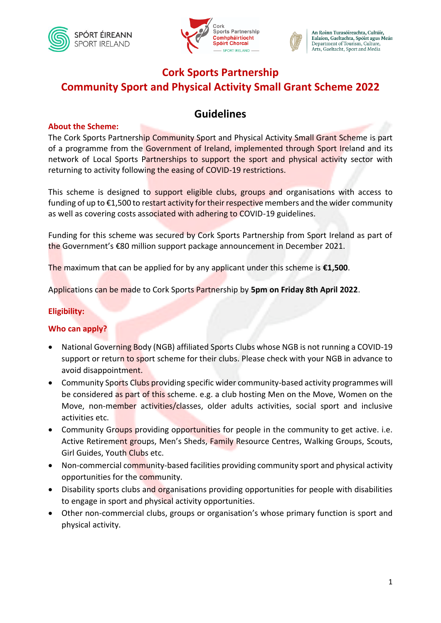





# **Cork Sports Partnership Community Sport and Physical Activity Small Grant Scheme 2022**

# **Guidelines**

#### **About the Scheme:**

The Cork Sports Partnership Community Sport and Physical Activity Small Grant Scheme is part of a programme from the Government of Ireland, implemented through Sport Ireland and its network of Local Sports Partnerships to support the sport and physical activity sector with returning to activity following the easing of COVID-19 restrictions.

This scheme is designed to support eligible clubs, groups and organisations with access to funding of up to  $\epsilon$ 1,500 to restart activity for their respective members and the wider community as well as covering costs associated with adhering to COVID-19 guidelines.

Funding for this scheme was secured by Cork Sports Partnership from Sport Ireland as part of the Government's €80 million support package announcement in December 2021.

The maximum that can be applied for by any applicant under this scheme is **€1,500**.

Applications can be made to Cork Sports Partnership by **5pm on Friday 8th April 2022**.

#### **Eligibility:**

#### **Who can apply?**

- National Governing Body (NGB) affiliated Sports Clubs whose NGB is not running a COVID-19 support or return to sport scheme for their clubs. Please check with your NGB in advance to avoid disappointment.
- Community Sports Clubs providing specific wider community-based activity programmes will be considered as part of this scheme. e.g. a club hosting Men on the Move, Women on the Move, non-member activities/classes, older adults activities, social sport and inclusive activities etc.
- Community Groups providing opportunities for people in the community to get active. i.e. Active Retirement groups, Men's Sheds, Family Resource Centres, Walking Groups, Scouts, Girl Guides, Youth Clubs etc.
- Non-commercial community-based facilities providing community sport and physical activity opportunities for the community.
- Disability sports clubs and organisations providing opportunities for people with disabilities to engage in sport and physical activity opportunities.
- Other non-commercial clubs, groups or organisation's whose primary function is sport and physical activity.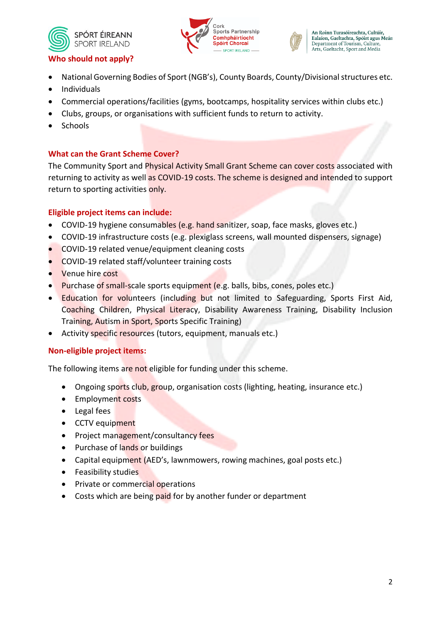



## **Who should not apply?**

- National Governing Bodies of Sport (NGB's), County Boards, County/Divisional structures etc.
- Individuals
- Commercial operations/facilities (gyms, bootcamps, hospitality services within clubs etc.)
- Clubs, groups, or organisations with sufficient funds to return to activity.
- **Schools**

## **What can the Grant Scheme Cover?**

The Community Sport and Physical Activity Small Grant Scheme can cover costs associated with returning to activity as well as COVID-19 costs. The scheme is designed and intended to support return to sporting activities only.

#### **Eligible project items can include:**

- COVID-19 hygiene consumables (e.g. hand sanitizer, soap, face masks, gloves etc.)
- COVID-19 infrastructure costs (e.g. plexiglass screens, wall mounted dispensers, signage)
- COVID-19 related venue/equipment cleaning costs
- COVID-19 related staff/volunteer training costs
- Venue hire cost
- Purchase of small-scale sports equipment (e.g. balls, bibs, cones, poles etc.)
- Education for volunteers (including but not limited to Safeguarding, Sports First Aid, Coaching Children, Physical Literacy, Disability Awareness Training, Disability Inclusion Training, Autism in Sport, Sports Specific Training)
- Activity specific resources (tutors, equipment, manuals etc.)

#### **Non-eligible project items:**

The following items are not eligible for funding under this scheme.

- Ongoing sports club, group, organisation costs (lighting, heating, insurance etc.)
- Employment costs
- Legal fees
- CCTV equipment
- Project management/consultancy fees
- Purchase of lands or buildings
- Capital equipment (AED's, lawnmowers, rowing machines, goal posts etc.)
- Feasibility studies
- Private or commercial operations
- Costs which are being paid for by another funder or department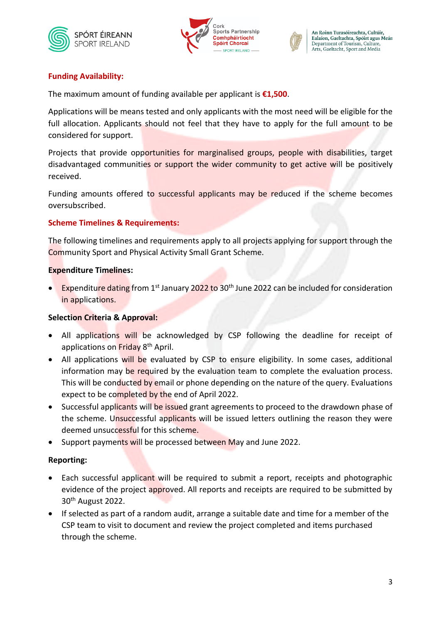





# **Funding Availability:**

The maximum amount of funding available per applicant is **€1,500**.

Applications will be means tested and only applicants with the most need will be eligible for the full allocation. Applicants should not feel that they have to apply for the full amount to be considered for support.

Projects that provide opportunities for marginalised groups, people with disabilities, target disadvantaged communities or support the wider community to get active will be positively received.

Funding amounts offered to successful applicants may be reduced if the scheme becomes oversubscribed.

## **Scheme Timelines & Requirements:**

The following timelines and requirements apply to all projects applying for support through the Community Sport and Physical Activity Small Grant Scheme.

## **Expenditure Timelines:**

• Expenditure dating from 1<sup>st</sup> January 2022 to 30<sup>th</sup> June 2022 can be included for consideration in applications.

# **Selection Criteria & Approval:**

- All applications will be acknowledged by CSP following the deadline for receipt of applications on Friday 8th April.
- All applications will be evaluated by CSP to ensure eligibility. In some cases, additional information may be required by the evaluation team to complete the evaluation process. This will be conducted by email or phone depending on the nature of the query. Evaluations expect to be completed by the end of April 2022.
- Successful applicants will be issued grant agreements to proceed to the drawdown phase of the scheme. Unsuccessful applicants will be issued letters outlining the reason they were deemed unsuccessful for this scheme.
- Support payments will be processed between May and June 2022.

# **Reporting:**

- Each successful applicant will be required to submit a report, receipts and photographic evidence of the project approved. All reports and receipts are required to be submitted by 30th August 2022.
- If selected as part of a random audit, arrange a suitable date and time for a member of the CSP team to visit to document and review the project completed and items purchased through the scheme.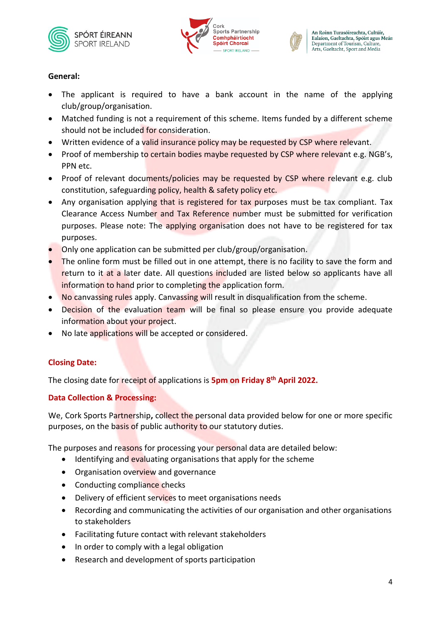





### **General:**

- The applicant is required to have a bank account in the name of the applying club/group/organisation.
- Matched funding is not a requirement of this scheme. Items funded by a different scheme should not be included for consideration.
- Written evidence of a valid insurance policy may be requested by CSP where relevant.
- Proof of membership to certain bodies maybe requested by CSP where relevant e.g. NGB's, PPN etc.
- Proof of relevant documents/policies may be requested by CSP where relevant e.g. club constitution, safeguarding policy, health & safety policy etc.
- Any organisation applying that is registered for tax purposes must be tax compliant. Tax Clearance Access Number and Tax Reference number must be submitted for verification purposes. Please note: The applying organisation does not have to be registered for tax purposes.
- Only one application can be submitted per club/group/organisation.
- The online form must be filled out in one attempt, there is no facility to save the form and return to it at a later date. All questions included are listed below so applicants have all information to hand prior to completing the application form.
- No canvassing rules apply. Canvassing will result in disqualification from the scheme.
- Decision of the evaluation team will be final so please ensure you provide adequate information about your project.
- No late applications will be accepted or considered.

# **Closing Date:**

The closing date for receipt of applications is **5pm on Friday 8 th April 2022.**

# **Data Collection & Processing:**

We, Cork Sports Partnership**,** collect the personal data provided below for one or more specific purposes, on the basis of public authority to our statutory duties.

The purposes and reasons for processing your personal data are detailed below:

- Identifying and evaluating organisations that apply for the scheme
- Organisation overview and governance
- Conducting compliance checks
- Delivery of efficient services to meet organisations needs
- Recording and communicating the activities of our organisation and other organisations to stakeholders
- Facilitating future contact with relevant stakeholders
- In order to comply with a legal obligation
- Research and development of sports participation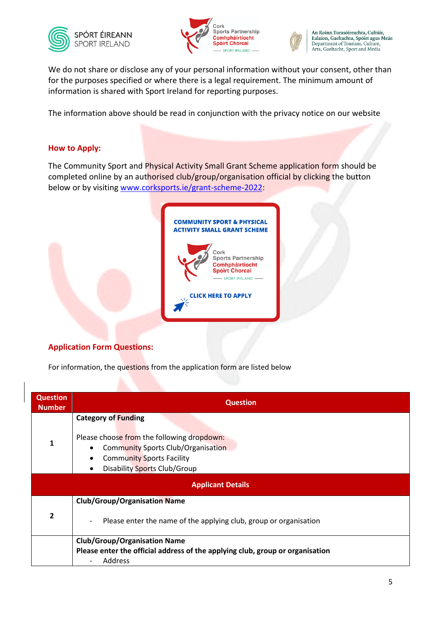





An Roinn Turasóireachta, Cultúir,<br>Ealaíon, Gaeltachta, Spóirt agus Meán Department of Tourism, Culture, Arts, Gaeltacht, Sport and Media

We do not share or disclose any of your personal information without your consent, other than for the purposes specified or where there is a legal requirement. The minimum amount of information is shared with Sport Ireland for reporting purposes.

The information above should be read in conjunction with the privacy notice on our website

#### **How to Apply:**

The Community Sport and Physical Activity Small Grant Scheme application form should be completed online by an authorised club/group/organisation official by clicking the button below or by visiting [www.corksports.ie/grant-scheme-2022:](http://www.corksports.ie/grant-scheme-2022)



#### **Application Form Questions:**

For information, the questions from the application form are listed below

| <b>Question</b><br><b>Number</b> | <b>Question</b>                                                                                                                                                                                                     |
|----------------------------------|---------------------------------------------------------------------------------------------------------------------------------------------------------------------------------------------------------------------|
| $\mathbf{1}$                     | <b>Category of Funding</b><br>Please choose from the following dropdown:<br><b>Community Sports Club/Organisation</b><br>$\bullet$<br><b>Community Sports Facility</b><br>Disability Sports Club/Group<br>$\bullet$ |
|                                  | <b>Applicant Details</b>                                                                                                                                                                                            |
| 2                                | <b>Club/Group/Organisation Name</b><br>Please enter the name of the applying club, group or organisation                                                                                                            |
|                                  | <b>Club/Group/Organisation Name</b><br>Please enter the official address of the applying club, group or organisation<br>Address                                                                                     |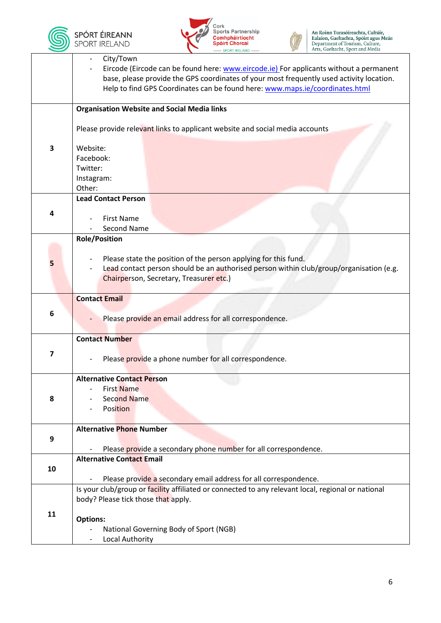





|    | City/Town                                                                                          |  |  |
|----|----------------------------------------------------------------------------------------------------|--|--|
|    | Eircode (Eircode can be found here: www.eircode.ie) For applicants without a permanent             |  |  |
|    | base, please provide the GPS coordinates of your most frequently used activity location.           |  |  |
|    | Help to find GPS Coordinates can be found here: www.maps.ie/coordinates.html                       |  |  |
|    |                                                                                                    |  |  |
|    | <b>Organisation Website and Social Media links</b>                                                 |  |  |
|    |                                                                                                    |  |  |
|    | Please provide relevant links to applicant website and social media accounts                       |  |  |
|    |                                                                                                    |  |  |
| 3  | Website:                                                                                           |  |  |
|    | Facebook:                                                                                          |  |  |
|    | Twitter:                                                                                           |  |  |
|    | Instagram:                                                                                         |  |  |
|    | Other:                                                                                             |  |  |
|    | <b>Lead Contact Person</b>                                                                         |  |  |
| 4  |                                                                                                    |  |  |
|    | <b>First Name</b><br><b>Second Name</b>                                                            |  |  |
|    | <b>Role/Position</b>                                                                               |  |  |
|    |                                                                                                    |  |  |
|    | Please state the position of the person applying for this fund.                                    |  |  |
| 5  | Lead contact person should be an authorised person within club/group/organisation (e.g.            |  |  |
|    | Chairperson, Secretary, Treasurer etc.)                                                            |  |  |
|    |                                                                                                    |  |  |
|    | <b>Contact Email</b>                                                                               |  |  |
|    |                                                                                                    |  |  |
| 6  | Please provide an email address for all correspondence.                                            |  |  |
|    |                                                                                                    |  |  |
|    | <b>Contact Number</b>                                                                              |  |  |
| 7  |                                                                                                    |  |  |
|    | Please provide a phone number for all correspondence.                                              |  |  |
|    |                                                                                                    |  |  |
|    | <b>Alternative Contact Person</b>                                                                  |  |  |
|    | First Name                                                                                         |  |  |
| 8  | <b>Second Name</b><br><b>Position</b>                                                              |  |  |
|    |                                                                                                    |  |  |
|    | <b>Alternative Phone Number</b>                                                                    |  |  |
| 9  |                                                                                                    |  |  |
|    | Please provide a secondary phone number for all correspondence.                                    |  |  |
|    | <b>Alternative Contact Email</b>                                                                   |  |  |
| 10 |                                                                                                    |  |  |
|    | Please provide a secondary email address for all correspondence.                                   |  |  |
|    | Is your club/group or facility affiliated or connected to any relevant local, regional or national |  |  |
|    | body? Please tick those that apply.                                                                |  |  |
| 11 |                                                                                                    |  |  |
|    | <b>Options:</b>                                                                                    |  |  |
|    | National Governing Body of Sport (NGB)                                                             |  |  |
|    | Local Authority                                                                                    |  |  |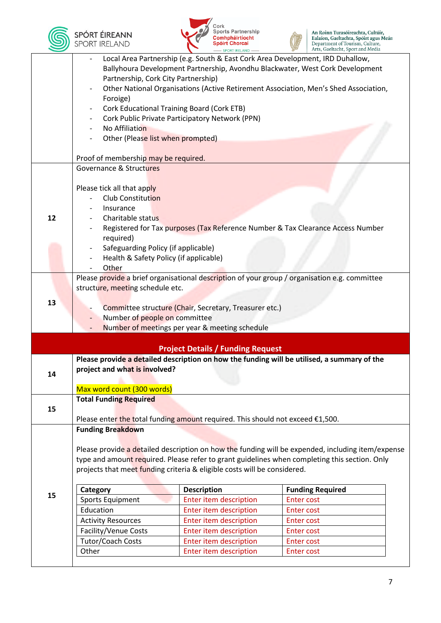





|    | Local Area Partnership (e.g. South & East Cork Area Development, IRD Duhallow,       |                                                        |                                                                                                   |  |  |
|----|--------------------------------------------------------------------------------------|--------------------------------------------------------|---------------------------------------------------------------------------------------------------|--|--|
|    | Ballyhoura Development Partnership, Avondhu Blackwater, West Cork Development        |                                                        |                                                                                                   |  |  |
|    | Partnership, Cork City Partnership)                                                  |                                                        |                                                                                                   |  |  |
|    | Other National Organisations (Active Retirement Association, Men's Shed Association, |                                                        |                                                                                                   |  |  |
|    | Foroige)                                                                             |                                                        |                                                                                                   |  |  |
|    | <b>Cork Educational Training Board (Cork ETB)</b>                                    |                                                        |                                                                                                   |  |  |
|    |                                                                                      | Cork Public Private Participatory Network (PPN)        |                                                                                                   |  |  |
|    | No Affiliation                                                                       |                                                        |                                                                                                   |  |  |
|    | Other (Please list when prompted)                                                    |                                                        |                                                                                                   |  |  |
|    |                                                                                      |                                                        |                                                                                                   |  |  |
|    | Proof of membership may be required.                                                 |                                                        |                                                                                                   |  |  |
|    | Governance & Structures                                                              |                                                        |                                                                                                   |  |  |
|    | Please tick all that apply                                                           |                                                        |                                                                                                   |  |  |
|    | Club Constitution                                                                    |                                                        |                                                                                                   |  |  |
|    | Insurance                                                                            |                                                        |                                                                                                   |  |  |
| 12 | Charitable status                                                                    |                                                        |                                                                                                   |  |  |
|    |                                                                                      |                                                        | Registered for Tax purposes (Tax Reference Number & Tax Clearance Access Number                   |  |  |
|    | required)                                                                            |                                                        |                                                                                                   |  |  |
|    | Safeguarding Policy (if applicable)                                                  |                                                        |                                                                                                   |  |  |
|    | Health & Safety Policy (if applicable)                                               |                                                        |                                                                                                   |  |  |
|    | Other                                                                                |                                                        |                                                                                                   |  |  |
|    |                                                                                      |                                                        | Please provide a brief organisational description of your group / organisation e.g. committee     |  |  |
|    | structure, meeting schedule etc.                                                     |                                                        |                                                                                                   |  |  |
|    |                                                                                      |                                                        |                                                                                                   |  |  |
|    |                                                                                      |                                                        |                                                                                                   |  |  |
| 13 |                                                                                      | Committee structure (Chair, Secretary, Treasurer etc.) |                                                                                                   |  |  |
|    | Number of people on committee                                                        |                                                        |                                                                                                   |  |  |
|    |                                                                                      | Number of meetings per year & meeting schedule         |                                                                                                   |  |  |
|    |                                                                                      |                                                        |                                                                                                   |  |  |
|    |                                                                                      | <b>Project Details / Funding Request</b>               |                                                                                                   |  |  |
|    |                                                                                      |                                                        | Please provide a detailed description on how the funding will be utilised, a summary of the       |  |  |
| 14 | project and what is involved?                                                        |                                                        |                                                                                                   |  |  |
|    |                                                                                      |                                                        |                                                                                                   |  |  |
|    | Max word count (300 words)                                                           |                                                        |                                                                                                   |  |  |
|    | <b>Total Funding Required</b>                                                        |                                                        |                                                                                                   |  |  |
| 15 | Please enter the total funding amount required. This should not exceed €1,500.       |                                                        |                                                                                                   |  |  |
|    | <b>Funding Breakdown</b>                                                             |                                                        |                                                                                                   |  |  |
|    |                                                                                      |                                                        |                                                                                                   |  |  |
|    |                                                                                      |                                                        | Please provide a detailed description on how the funding will be expended, including item/expense |  |  |
|    |                                                                                      |                                                        | type and amount required. Please refer to grant guidelines when completing this section. Only     |  |  |
|    | projects that meet funding criteria & eligible costs will be considered.             |                                                        |                                                                                                   |  |  |
|    |                                                                                      |                                                        |                                                                                                   |  |  |
|    | Category                                                                             | <b>Description</b>                                     | <b>Funding Required</b>                                                                           |  |  |
| 15 | <b>Sports Equipment</b>                                                              | Enter item description                                 | Enter cost                                                                                        |  |  |
|    | Education                                                                            | Enter item description                                 | <b>Enter cost</b>                                                                                 |  |  |
|    | <b>Activity Resources</b>                                                            | Enter item description                                 | Enter cost                                                                                        |  |  |
|    | Facility/Venue Costs                                                                 | Enter item description                                 | <b>Enter cost</b>                                                                                 |  |  |
|    | <b>Tutor/Coach Costs</b>                                                             | Enter item description                                 | <b>Enter cost</b>                                                                                 |  |  |
|    | Other                                                                                | Enter item description                                 | <b>Enter cost</b>                                                                                 |  |  |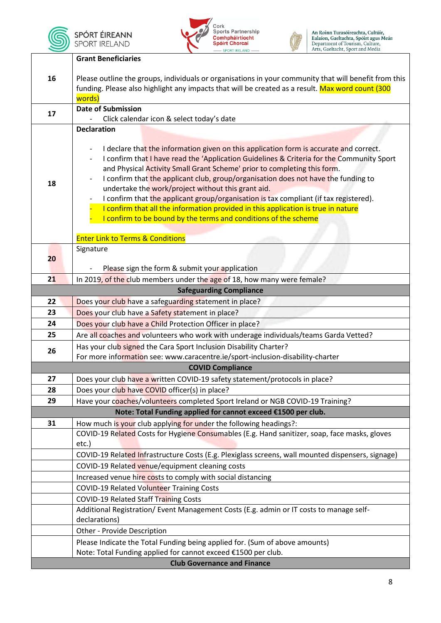

**SPÓRT ÉIREANN**<br>SPORT IRELAND





An Roinn Turasóireachta, Cultúir,<br>Ealaíon, Gaeltachta, Spóirt agus Meán<br>Department of Tourism, Culture,<br>Arts, Gaeltacht, Sport and Media

|          | <b>Grant Beneficiaries</b>                                                                                                                                                                                |  |  |  |
|----------|-----------------------------------------------------------------------------------------------------------------------------------------------------------------------------------------------------------|--|--|--|
|          |                                                                                                                                                                                                           |  |  |  |
| 16       | Please outline the groups, individuals or organisations in your community that will benefit from this<br>funding. Please also highlight any impacts that will be created as a result. Max word count (300 |  |  |  |
|          | words)                                                                                                                                                                                                    |  |  |  |
|          | <b>Date of Submission</b>                                                                                                                                                                                 |  |  |  |
| 17       | Click calendar icon & select today's date                                                                                                                                                                 |  |  |  |
|          | <b>Declaration</b>                                                                                                                                                                                        |  |  |  |
|          |                                                                                                                                                                                                           |  |  |  |
|          | I declare that the information given on this application form is accurate and correct.                                                                                                                    |  |  |  |
|          | I confirm that I have read the 'Application Guidelines & Criteria for the Community Sport<br>and Physical Activity Small Grant Scheme' prior to completing this form.                                     |  |  |  |
|          | I confirm that the applicant club, group/organisation does not have the funding to                                                                                                                        |  |  |  |
| 18       | undertake the work/project without this grant aid.                                                                                                                                                        |  |  |  |
|          | I confirm that the applicant group/organisation is tax compliant (if tax registered).                                                                                                                     |  |  |  |
|          | I confirm that all the information provided in this application is true in nature                                                                                                                         |  |  |  |
|          | I confirm to be bound by the terms and conditions of the scheme                                                                                                                                           |  |  |  |
|          |                                                                                                                                                                                                           |  |  |  |
|          | <b>Enter Link to Terms &amp; Conditions</b><br>Signature                                                                                                                                                  |  |  |  |
| 20       |                                                                                                                                                                                                           |  |  |  |
|          | Please sign the form & submit your application                                                                                                                                                            |  |  |  |
| 21       | In 2019, of the club members under the age of 18, how many were female?                                                                                                                                   |  |  |  |
|          | <b>Safeguarding Compliance</b>                                                                                                                                                                            |  |  |  |
| 22       | Does your club have a safeguarding statement in place?                                                                                                                                                    |  |  |  |
| 23       | Does your club have a Safety statement in place?                                                                                                                                                          |  |  |  |
| 24       | Does your club have a Child Protection Officer in place?                                                                                                                                                  |  |  |  |
| 25       | Are all coaches and volunteers who work with underage individuals/teams Garda Vetted?                                                                                                                     |  |  |  |
| 26       | Has your club signed the Cara Sport Inclusion Disability Charter?                                                                                                                                         |  |  |  |
|          | For more information see: www.caracentre.ie/sport-inclusion-disability-charter                                                                                                                            |  |  |  |
| 27       | <b>COVID Compliance</b>                                                                                                                                                                                   |  |  |  |
|          | Does your club have a written COVID-19 safety statement/protocols in place?<br>Does your club have COVID officer(s) in place?                                                                             |  |  |  |
| 28<br>29 | Have your coaches/volunteers completed Sport Ireland or NGB COVID-19 Training?                                                                                                                            |  |  |  |
|          | Note: Total Funding applied for cannot exceed €1500 per club.                                                                                                                                             |  |  |  |
| 31       | How much is your club applying for under the following headings?:                                                                                                                                         |  |  |  |
|          | COVID-19 Related Costs for Hygiene Consumables (E.g. Hand sanitizer, soap, face masks, gloves                                                                                                             |  |  |  |
|          | etc.)                                                                                                                                                                                                     |  |  |  |
|          | COVID-19 Related Infrastructure Costs (E.g. Plexiglass screens, wall mounted dispensers, signage)                                                                                                         |  |  |  |
|          | COVID-19 Related venue/equipment cleaning costs                                                                                                                                                           |  |  |  |
|          | Increased venue hire costs to comply with social distancing                                                                                                                                               |  |  |  |
|          | <b>COVID-19 Related Volunteer Training Costs</b>                                                                                                                                                          |  |  |  |
|          | <b>COVID-19 Related Staff Training Costs</b>                                                                                                                                                              |  |  |  |
|          | Additional Registration/ Event Management Costs (E.g. admin or IT costs to manage self-                                                                                                                   |  |  |  |
|          | declarations)                                                                                                                                                                                             |  |  |  |
|          | Other - Provide Description                                                                                                                                                                               |  |  |  |
|          | Please Indicate the Total Funding being applied for. (Sum of above amounts)<br>Note: Total Funding applied for cannot exceed €1500 per club.                                                              |  |  |  |
|          | <b>Club Governance and Finance</b>                                                                                                                                                                        |  |  |  |